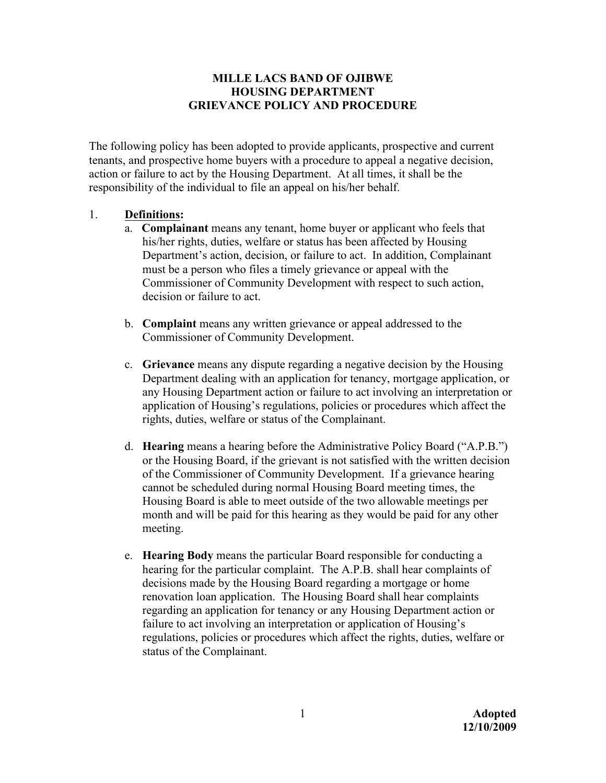## **MILLE LACS BAND OF OJIBWE HOUSING DEPARTMENT GRIEVANCE POLICY AND PROCEDURE**

The following policy has been adopted to provide applicants, prospective and current tenants, and prospective home buyers with a procedure to appeal a negative decision, action or failure to act by the Housing Department. At all times, it shall be the responsibility of the individual to file an appeal on his/her behalf.

## 1. **Definitions:**

- a. **Complainant** means any tenant, home buyer or applicant who feels that his/her rights, duties, welfare or status has been affected by Housing Department's action, decision, or failure to act. In addition, Complainant must be a person who files a timely grievance or appeal with the Commissioner of Community Development with respect to such action, decision or failure to act.
- b. **Complaint** means any written grievance or appeal addressed to the Commissioner of Community Development.
- c. **Grievance** means any dispute regarding a negative decision by the Housing Department dealing with an application for tenancy, mortgage application, or any Housing Department action or failure to act involving an interpretation or application of Housing's regulations, policies or procedures which affect the rights, duties, welfare or status of the Complainant.
- d. **Hearing** means a hearing before the Administrative Policy Board ("A.P.B.") or the Housing Board, if the grievant is not satisfied with the written decision of the Commissioner of Community Development. If a grievance hearing cannot be scheduled during normal Housing Board meeting times, the Housing Board is able to meet outside of the two allowable meetings per month and will be paid for this hearing as they would be paid for any other meeting.
- e. **Hearing Body** means the particular Board responsible for conducting a hearing for the particular complaint.The A.P.B. shall hear complaints of decisions made by the Housing Board regarding a mortgage or home renovation loan application. The Housing Board shall hear complaints regarding an application for tenancy or any Housing Department action or failure to act involving an interpretation or application of Housing's regulations, policies or procedures which affect the rights, duties, welfare or status of the Complainant.